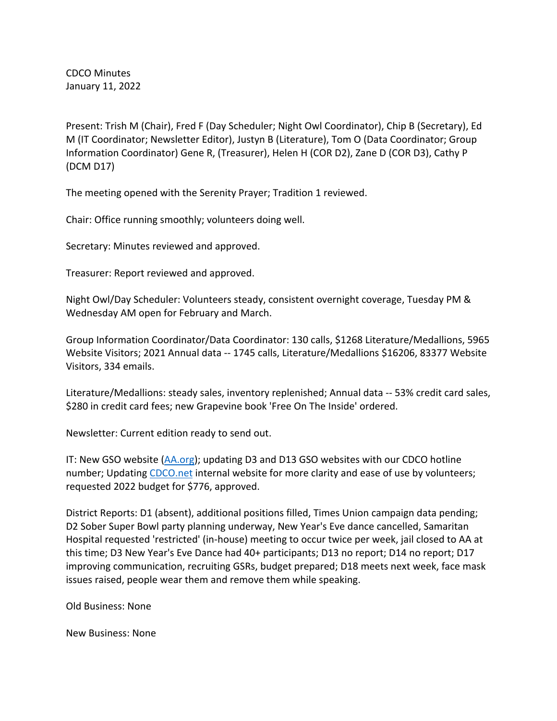CDCO Minutes January 11, 2022

Present: Trish M (Chair), Fred F (Day Scheduler; Night Owl Coordinator), Chip B (Secretary), Ed M (IT Coordinator; Newsletter Editor), Justyn B (Literature), Tom O (Data Coordinator; Group Information Coordinator) Gene R, (Treasurer), Helen H (COR D2), Zane D (COR D3), Cathy P (DCM D17)

The meeting opened with the Serenity Prayer; Tradition 1 reviewed.

Chair: Office running smoothly; volunteers doing well.

Secretary: Minutes reviewed and approved.

Treasurer: Report reviewed and approved.

Night Owl/Day Scheduler: Volunteers steady, consistent overnight coverage, Tuesday PM & Wednesday AM open for February and March.

Group Information Coordinator/Data Coordinator: 130 calls, \$1268 Literature/Medallions, 5965 Website Visitors; 2021 Annual data -- 1745 calls, Literature/Medallions \$16206, 83377 Website Visitors, 334 emails.

Literature/Medallions: steady sales, inventory replenished; Annual data -- 53% credit card sales, \$280 in credit card fees; new Grapevine book 'Free On The Inside' ordered.

Newsletter: Current edition ready to send out.

IT: New GSO website (AA.org); updating D3 and D13 GSO websites with our CDCO hotline number; Updating CDCO.net internal website for more clarity and ease of use by volunteers; requested 2022 budget for \$776, approved.

District Reports: D1 (absent), additional positions filled, Times Union campaign data pending; D2 Sober Super Bowl party planning underway, New Year's Eve dance cancelled, Samaritan Hospital requested 'restricted' (in-house) meeting to occur twice per week, jail closed to AA at this time; D3 New Year's Eve Dance had 40+ participants; D13 no report; D14 no report; D17 improving communication, recruiting GSRs, budget prepared; D18 meets next week, face mask issues raised, people wear them and remove them while speaking.

Old Business: None

New Business: None